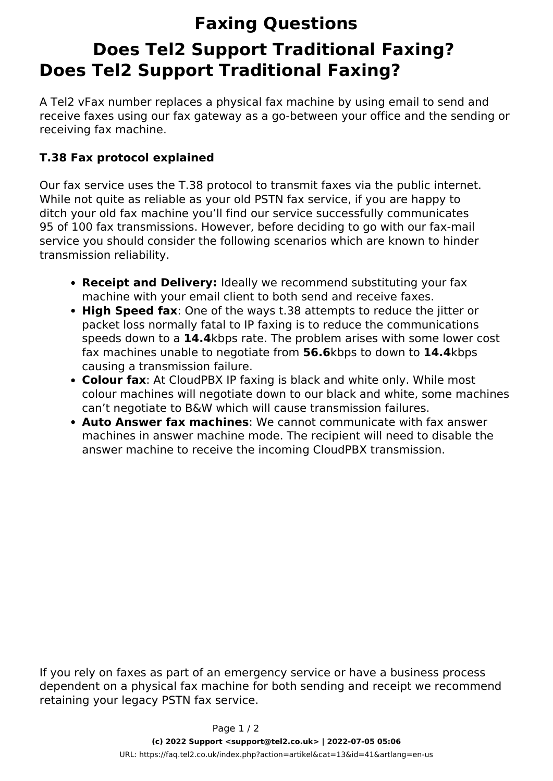## **Faxing Questions Does Tel2 Support Traditional Faxing? Does Tel2 Support Traditional Faxing?**

A Tel2 vFax number replaces a physical fax machine by using email to send and receive faxes using our fax gateway as a go-between your office and the sending or receiving fax machine.

## **T.38 Fax protocol explained**

Our fax service uses the T.38 protocol to transmit faxes via the public internet. While not quite as reliable as your old PSTN fax service, if you are happy to ditch your old fax machine you'll find our service successfully communicates 95 of 100 fax transmissions. However, before deciding to go with our fax-mail service you should consider the following scenarios which are known to hinder transmission reliability.

- **Receipt and Delivery:** Ideally we recommend substituting your fax machine with your email client to both send and receive faxes.
- **High Speed fax**: One of the ways t.38 attempts to reduce the jitter or packet loss normally fatal to IP faxing is to reduce the communications speeds down to a **14.4**kbps rate. The problem arises with some lower cost fax machines unable to negotiate from **56.6**kbps to down to **14.4**kbps causing a transmission failure.
- **Colour fax**: At CloudPBX IP faxing is black and white only. While most colour machines will negotiate down to our black and white, some machines can't negotiate to B&W which will cause transmission failures.
- **Auto Answer fax machines**: We cannot communicate with fax answer machines in answer machine mode. The recipient will need to disable the answer machine to receive the incoming CloudPBX transmission.

If you rely on faxes as part of an emergency service or have a business process dependent on a physical fax machine for both sending and receipt we recommend retaining your legacy PSTN fax service.